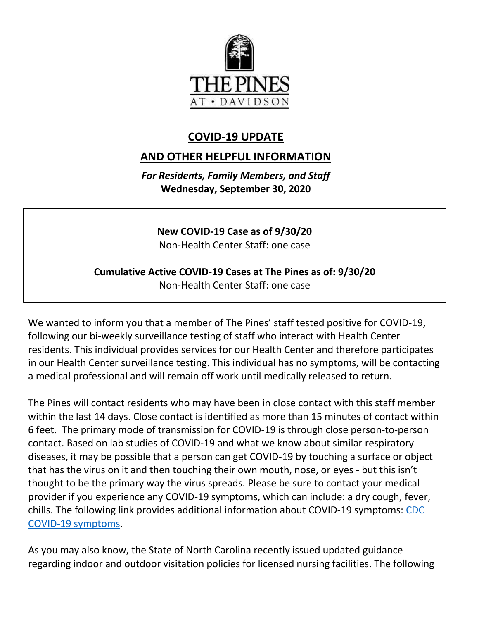

## **COVID-19 UPDATE**

## **AND OTHER HELPFUL INFORMATION**

*For Residents, Family Members, and Staff* **Wednesday, September 30, 2020**

**New COVID-19 Case as of 9/30/20** Non-Health Center Staff: one case

## **Cumulative Active COVID-19 Cases at The Pines as of: 9/30/20** Non-Health Center Staff: one case

We wanted to inform you that a member of The Pines' staff tested positive for COVID-19, following our bi-weekly surveillance testing of staff who interact with Health Center residents. This individual provides services for our Health Center and therefore participates in our Health Center surveillance testing. This individual has no symptoms, will be contacting a medical professional and will remain off work until medically released to return.

The Pines will contact residents who may have been in close contact with this staff member within the last 14 days. Close contact is identified as more than 15 minutes of contact within 6 feet. The primary mode of transmission for COVID-19 is through close person-to-person contact. Based on lab studies of COVID-19 and what we know about similar respiratory diseases, it may be possible that a person can get COVID-19 by touching a surface or object that has the virus on it and then touching their own mouth, nose, or eyes - but this isn't thought to be the primary way the virus spreads. Please be sure to contact your medical provider if you experience any COVID-19 symptoms, which can include: a dry cough, fever, chills. The following link provides additional information about COVID-19 symptoms: [CDC](https://www.cdc.gov/coronavirus/2019-ncov/symptoms-testing/symptoms.html)  [COVID-19 symptoms.](https://www.cdc.gov/coronavirus/2019-ncov/symptoms-testing/symptoms.html)

As you may also know, the State of North Carolina recently issued updated guidance regarding indoor and outdoor visitation policies for licensed nursing facilities. The following